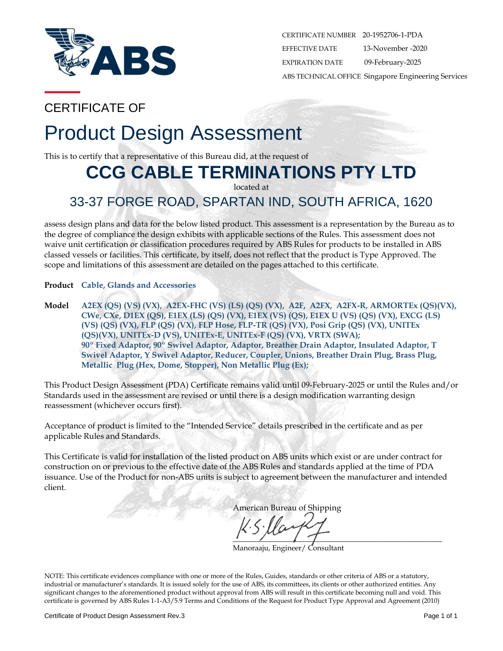

CERTIFICATE NUMBER 20-1952706-1-PDA EFFECTIVE DATE 13-November -2020 EXPIRATION DATE 09-February-2025 ABS TECHNICAL OFFICE Singapore Engineering Services

## CERTIFICATE OF

# Product Design Assessment

This is to certify that a representative of this Bureau did, at the request of

## **CCG CABLE TERMINATIONS PTY LTD**

located at

## 33-37 FORGE ROAD, SPARTAN IND, SOUTH AFRICA, 1620

assess design plans and data for the below listed product. This assessment is a representation by the Bureau as to the degree of compliance the design exhibits with applicable sections of the Rules. This assessment does not waive unit certification or classification procedures required by ABS Rules for products to be installed in ABS classed vessels or facilities. This certificate, by itself, does not reflect that the product is Type Approved. The scope and limitations of this assessment are detailed on the pages attached to this certificate.

**Product Cable, Glands and Accessories**

**Model A2EX (QS) (VS) (VX), A2EX-FHC (VS) (LS) (QS) (VX), A2F, A2FX, A2FX-R, ARMORTEx (QS)(VX), CWe, CXe, D1EX (QS), E1EX (LS) (QS) (VX), E1EX (VS) (QS), E1EX U (VS) (QS) (VX), EXCG (LS) (VS) (QS) (VX), FLP (QS) (VX), FLP Hose, FLP-TR (QS) (VX), Posi Grip (QS) (VX), UNITEx (QS)(VX), UNITEx-D (VS), UNITEx-E, UNITEx-F (QS) (VX), VRTX (SWA); 90º Fixed Adaptor, 90º Swivel Adaptor, Adaptor, Breather Drain Adaptor, Insulated Adaptor, T Swivel Adaptor, Y Swivel Adaptor, Reducer, Coupler, Unions, Breather Drain Plug, Brass Plug, Metallic Plug (Hex, Dome, Stopper), Non Metallic Plug (Ex);**

This Product Design Assessment (PDA) Certificate remains valid until 09-February-2025 or until the Rules and/or Standards used in the assessment are revised or until there is a design modification warranting design reassessment (whichever occurs first).

Acceptance of product is limited to the "Intended Service" details prescribed in the certificate and as per applicable Rules and Standards.

This Certificate is valid for installation of the listed product on ABS units which exist or are under contract for construction on or previous to the effective date of the ABS Rules and standards applied at the time of PDA issuance. Use of the Product for non-ABS units is subject to agreement between the manufacturer and intended client.

American Bureau of Shipping

 $\Box$ 

Manoraaju, Engineer/ Consultant

NOTE: This certificate evidences compliance with one or more of the Rules, Guides, standards or other criteria of ABS or a statutory, industrial or manufacturer's standards. It is issued solely for the use of ABS, its committees, its clients or other authorized entities. Any significant changes to the aforementioned product without approval from ABS will result in this certificate becoming null and void. This certificate is governed by ABS Rules 1-1-A3/5.9 Terms and Conditions of the Request for Product Type Approval and Agreement (2010)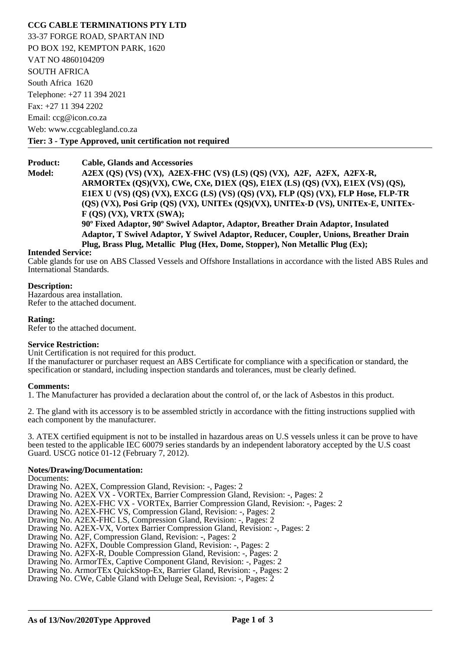#### **CCG CABLE TERMINATIONS PTY LTD**

33-37 FORGE ROAD, SPARTAN IND PO BOX 192, KEMPTON PARK, 1620 VAT NO 4860104209 SOUTH AFRICA South Africa 1620 Telephone: +27 11 394 2021 Fax: +27 11 394 2202 Email: ccg@icon.co.za Web: www.ccgcablegland.co.za **Tier: 3 - Type Approved, unit certification not required** 

**Product: Cable, Glands and Accessories**

**Model: A2EX (QS) (VS) (VX), A2EX-FHC (VS) (LS) (QS) (VX), A2F, A2FX, A2FX-R, ARMORTEx (QS)(VX), CWe, CXe, D1EX (QS), E1EX (LS) (QS) (VX), E1EX (VS) (QS), E1EX U (VS) (QS) (VX), EXCG (LS) (VS) (QS) (VX), FLP (QS) (VX), FLP Hose, FLP-TR (QS) (VX), Posi Grip (QS) (VX), UNITEx (QS)(VX), UNITEx-D (VS), UNITEx-E, UNITEx-F (QS) (VX), VRTX (SWA); 90º Fixed Adaptor, 90º Swivel Adaptor, Adaptor, Breather Drain Adaptor, Insulated Adaptor, T Swivel Adaptor, Y Swivel Adaptor, Reducer, Coupler, Unions, Breather Drain Plug, Brass Plug, Metallic Plug (Hex, Dome, Stopper), Non Metallic Plug (Ex);**

#### **Intended Service:**

Cable glands for use on ABS Classed Vessels and Offshore Installations in accordance with the listed ABS Rules and International Standards.

#### **Description:**

Hazardous area installation. Refer to the attached document.

#### **Rating:**

Refer to the attached document.

#### **Service Restriction:**

Unit Certification is not required for this product.

If the manufacturer or purchaser request an ABS Certificate for compliance with a specification or standard, the specification or standard, including inspection standards and tolerances, must be clearly defined.

#### **Comments:**

1. The Manufacturer has provided a declaration about the control of, or the lack of Asbestos in this product.

2. The gland with its accessory is to be assembled strictly in accordance with the fitting instructions supplied with each component by the manufacturer.

3. ATEX certified equipment is not to be installed in hazardous areas on U.S vessels unless it can be prove to have been tested to the applicable IEC 60079 series standards by an independent laboratory accepted by the U.S coast Guard. USCG notice 01-12 (February 7, 2012).

#### **Notes/Drawing/Documentation:**

Documents:

Drawing No. A2EX, Compression Gland, Revision: -, Pages: 2

Drawing No. A2EX VX - VORTEx, Barrier Compression Gland, Revision: -, Pages: 2

Drawing No. A2EX-FHC VX - VORTEx, Barrier Compression Gland, Revision: -, Pages: 2

Drawing No. A2EX-FHC VS, Compression Gland, Revision: -, Pages: 2

Drawing No. A2EX-FHC LS, Compression Gland, Revision: -, Pages: 2

Drawing No. A2EX-VX, Vortex Barrier Compression Gland, Revision: -, Pages: 2

Drawing No. A2F, Compression Gland, Revision: -, Pages: 2

Drawing No. A2FX, Double Compression Gland, Revision: -, Pages: 2

Drawing No. A2FX-R, Double Compression Gland, Revision: -, Pages: 2

Drawing No. ArmorTEx, Captive Component Gland, Revision: -, Pages: 2

Drawing No. ArmorTEx QuickStop-Ex, Barrier Gland, Revision: -, Pages: 2

Drawing No. CWe, Cable Gland with Deluge Seal, Revision: -, Pages: 2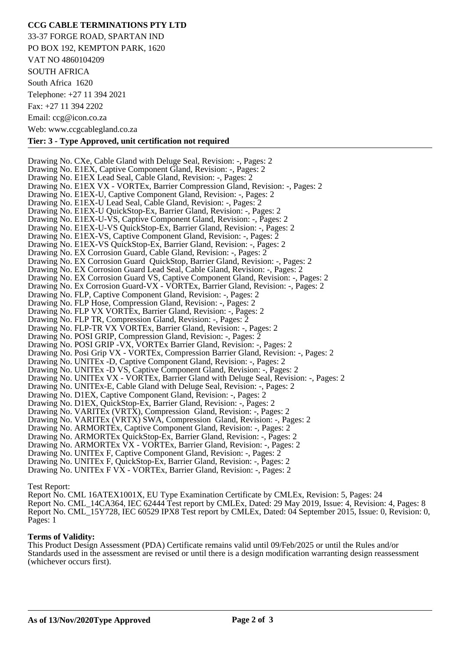#### **CCG CABLE TERMINATIONS PTY LTD**

33-37 FORGE ROAD, SPARTAN IND PO BOX 192, KEMPTON PARK, 1620 VAT NO 4860104209 SOUTH AFRICA South Africa 1620 Telephone: +27 11 394 2021 Fax: +27 11 394 2202 Email: ccg@icon.co.za Web: www.ccgcablegland.co.za

#### **Tier: 3 - Type Approved, unit certification not required**

Drawing No. CXe, Cable Gland with Deluge Seal, Revision: -, Pages: 2 Drawing No. E1EX, Captive Component Gland, Revision: -, Pages: 2 Drawing No. E1EX Lead Seal, Cable Gland, Revision: -, Pages: 2 Drawing No. E1EX VX - VORTEx, Barrier Compression Gland, Revision: -, Pages: 2 Drawing No. E1EX-U, Captive Component Gland, Revision: -, Pages: 2 Drawing No. E1EX-U Lead Seal, Cable Gland, Revision: -, Pages: 2 Drawing No. E1EX-U QuickStop-Ex, Barrier Gland, Revision: -, Pages: 2 Drawing No. E1EX-U-VS, Captive Component Gland, Revision: -, Pages: 2 Drawing No. E1EX-U-VS QuickStop-Ex, Barrier Gland, Revision: -, Pages: 2 Drawing No. E1EX-VS, Captive Component Gland, Revision: -, Pages: 2 Drawing No. E1EX-VS QuickStop-Ex, Barrier Gland, Revision: -, Pages: 2 Drawing No. EX Corrosion Guard, Cable Gland, Revision: -, Pages: 2 Drawing No. EX Corrosion Guard QuickStop, Barrier Gland, Revision: -, Pages: 2 Drawing No. EX Corrosion Guard Lead Seal, Cable Gland, Revision: -, Pages: 2 Drawing No. EX Corrosion Guard VS, Captive Component Gland, Revision: -, Pages: 2 Drawing No. Ex Corrosion Guard-VX - VORTEx, Barrier Gland, Revision: -, Pages: 2 Drawing No. FLP, Captive Component Gland, Revision: -, Pages: 2 Drawing No. FLP Hose, Compression Gland, Revision: -, Pages: 2 Drawing No. FLP VX VORTEx, Barrier Gland, Revision: -, Pages: 2 Drawing No. FLP TR, Compression Gland, Revision: -, Pages: 2 Drawing No. FLP-TR VX VORTEx, Barrier Gland, Revision: -, Pages: 2 Drawing No. POSI GRIP, Compression Gland, Revision: -, Pages: 2 Drawing No. POSI GRIP -VX, VORTEx Barrier Gland, Revision: -, Pages: 2 Drawing No. Posi Grip VX - VORTEx, Compression Barrier Gland, Revision: -, Pages: 2 Drawing No. UNITEx -D, Captive Component Gland, Revision: -, Pages: 2 Drawing No. UNITEx -D VS, Captive Component Gland, Revision: -, Pages: 2 Drawing No. UNITEx VX - VORTEx, Barrier Gland with Deluge Seal, Revision: -, Pages: 2 Drawing No. UNITEx-E, Cable Gland with Deluge Seal, Revision: -, Pages: 2 Drawing No. D1EX, Captive Component Gland, Revision: -, Pages: 2 Drawing No. D1EX, QuickStop-Ex, Barrier Gland, Revision: -, Pages: 2 Drawing No. VARITEx (VRTX), Compression Gland, Revision: -, Pages: 2 Drawing No. VARITEx (VRTX) SWA, Compression Gland, Revision: -, Pages: 2 Drawing No. ARMORTEx, Captive Component Gland, Revision: -, Pages: 2 Drawing No. ARMORTEx QuickStop-Ex, Barrier Gland, Revision: -, Pages: 2 Drawing No. ARMORTEx VX - VORTEx, Barrier Gland, Revision: -, Pages: 2 Drawing No. UNITEx F, Captive Component Gland, Revision: -, Pages: 2 Drawing No. UNITEx F, QuickStop-Ex, Barrier Gland, Revision: -, Pages: 2 Drawing No. UNITEx F VX - VORTEx, Barrier Gland, Revision: -, Pages: 2

#### Test Report:

Report No. CML 16ATEX1001X, EU Type Examination Certificate by CMLEx, Revision: 5, Pages: 24 Report No. CML\_14CA364, IEC 62444 Test report by CMLEx, Dated: 29 May 2019, Issue: 4, Revision: 4, Pages: 8 Report No. CML\_15Y728, IEC 60529 IPX8 Test report by CMLEx, Dated: 04 September 2015, Issue: 0, Revision: 0, Pages: 1

#### **Terms of Validity:**

This Product Design Assessment (PDA) Certificate remains valid until 09/Feb/2025 or until the Rules and/or Standards used in the assessment are revised or until there is a design modification warranting design reassessment (whichever occurs first).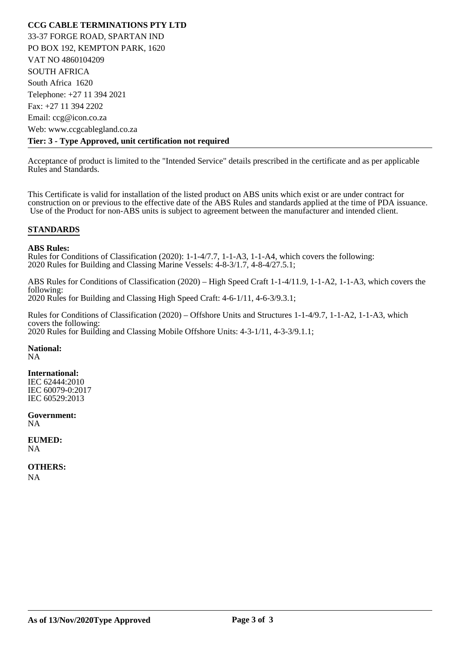**CCG CABLE TERMINATIONS PTY LTD**  33-37 FORGE ROAD, SPARTAN IND PO BOX 192, KEMPTON PARK, 1620 VAT NO 4860104209 SOUTH AFRICA South Africa 1620 Telephone: +27 11 394 2021 Fax: +27 11 394 2202 Email: ccg@icon.co.za Web: www.ccgcablegland.co.za **Tier: 3 - Type Approved, unit certification not required** 

Acceptance of product is limited to the "Intended Service" details prescribed in the certificate and as per applicable Rules and Standards.

This Certificate is valid for installation of the listed product on ABS units which exist or are under contract for construction on or previous to the effective date of the ABS Rules and standards applied at the time of PDA issuance. Use of the Product for non-ABS units is subject to agreement between the manufacturer and intended client.

#### **STANDARDS**

#### **ABS Rules:**

Rules for Conditions of Classification (2020): 1-1-4/7.7, 1-1-A3, 1-1-A4, which covers the following: 2020 Rules for Building and Classing Marine Vessels: 4-8-3/1.7, 4-8-4/27.5.1;

ABS Rules for Conditions of Classification (2020) – High Speed Craft 1-1-4/11.9, 1-1-A2, 1-1-A3, which covers the following: 2020 Rules for Building and Classing High Speed Craft: 4-6-1/11, 4-6-3/9.3.1;

Rules for Conditions of Classification (2020) – Offshore Units and Structures 1-1-4/9.7, 1-1-A2, 1-1-A3, which covers the following: 2020 Rules for Building and Classing Mobile Offshore Units: 4-3-1/11, 4-3-3/9.1.1;

**National:**

NA

#### **International:**

IEC 62444:2010 IEC 60079-0:2017 IEC 60529:2013

**Government:** NA

**EUMED:** NA

**OTHERS:** NA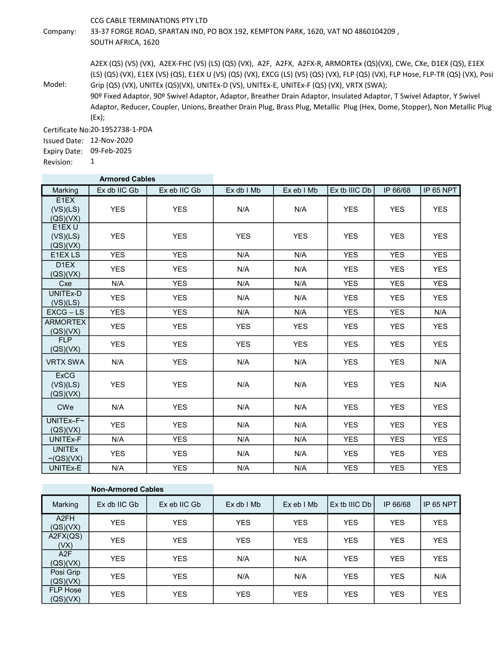CCG CABLE TERMINATIONS PTY LTD

Company: 33-37 FORGE ROAD, SPARTAN IND, PO BOX 192, KEMPTON PARK, 1620, VAT NO 4860104209 , SOUTH AFRICA, 1620

> A2EX (QS) (VS) (VX), A2EX-FHC (VS) (LS) (QS) (VX), A2F, A2FX, A2FX-R, ARMORTEx (QS)(VX), CWe, CXe, D1EX (QS), E1EX (LS) (QS) (VX), E1EX (VS) (QS), E1EX U (VS) (QS) (VX), EXCG (LS) (VS) (QS) (VX), FLP (QS) (VX), FLP Hose, FLP-TR (QS) (VX), Posi Grip (QS) (VX), UNITEx (QS)(VX), UNITEx-D (VS), UNITEx-E, UNITEx-F (QS) (VX), VRTX (SWA);

Model: 90º Fixed Adaptor, 90º Swivel Adaptor, Adaptor, Breather Drain Adaptor, Insulated Adaptor, T Swivel Adaptor, Y Swivel Adaptor, Reducer, Coupler, Unions, Breather Drain Plug, Brass Plug, Metallic Plug (Hex, Dome, Stopper), Non Metallic Plug (Ex);

Certificate No: 20-1952738-1-PDA

Issued Date: 12-Nov-2020

Expiry Date: 09-Feb-2025 1

Revision:

|                                                                | <b>Armored Cables</b> |              |            |            |               |            |            |
|----------------------------------------------------------------|-----------------------|--------------|------------|------------|---------------|------------|------------|
| Marking                                                        | Ex db IIC Gb          | Ex eb IIC Gb | Ex db I Mb | Ex eb I Mb | Ex tb IIIC Db | IP 66/68   | IP 65 NPT  |
| E1EX<br>(VS)(LS)<br>(QS)(VX)                                   | <b>YES</b>            | <b>YES</b>   | N/A        | N/A        | <b>YES</b>    | <b>YES</b> | <b>YES</b> |
| E1EX U<br>(VS)(LS)<br>(QS)(VX)                                 | <b>YES</b>            | <b>YES</b>   | <b>YES</b> | <b>YES</b> | <b>YES</b>    | <b>YES</b> | <b>YES</b> |
| E1EX LS                                                        | <b>YES</b>            | <b>YES</b>   | N/A        | N/A        | <b>YES</b>    | <b>YES</b> | <b>YES</b> |
| D <sub>1</sub> EX<br>(QS)(VX)                                  | <b>YES</b>            | <b>YES</b>   | N/A        | N/A        | <b>YES</b>    | <b>YES</b> | <b>YES</b> |
| Cxe                                                            | N/A                   | <b>YES</b>   | N/A        | N/A        | <b>YES</b>    | <b>YES</b> | <b>YES</b> |
| UNITEx-D<br>(VS)(LS)                                           | <b>YES</b>            | <b>YES</b>   | N/A        | N/A        | <b>YES</b>    | <b>YES</b> | <b>YES</b> |
| $EXCG - LS$                                                    | <b>YES</b>            | <b>YES</b>   | N/A        | N/A        | <b>YES</b>    | <b>YES</b> | N/A        |
| <b>ARMORTEX</b><br>(QS)(VX)                                    | <b>YES</b>            | <b>YES</b>   | <b>YES</b> | <b>YES</b> | <b>YES</b>    | <b>YES</b> | <b>YES</b> |
| <b>FLP</b><br>(QS)(VX)                                         | <b>YES</b>            | <b>YES</b>   | <b>YES</b> | <b>YES</b> | <b>YES</b>    | <b>YES</b> | <b>YES</b> |
| <b>VRTX SWA</b>                                                | N/A                   | <b>YES</b>   | N/A        | N/A        | <b>YES</b>    | <b>YES</b> | N/A        |
| <b>ExCG</b><br>(VS)(LS)<br>$\left( OS\right) \left( VX\right)$ | <b>YES</b>            | <b>YES</b>   | N/A        | N/A        | <b>YES</b>    | <b>YES</b> | N/A        |
| <b>CWe</b>                                                     | N/A                   | <b>YES</b>   | N/A        | N/A        | <b>YES</b>    | <b>YES</b> | <b>YES</b> |
| $UNITEx-F~$<br>(QS)(VX)                                        | <b>YES</b>            | <b>YES</b>   | N/A        | N/A        | <b>YES</b>    | <b>YES</b> | <b>YES</b> |
| UNITEx-F                                                       | N/A                   | <b>YES</b>   | N/A        | N/A        | <b>YES</b>    | <b>YES</b> | <b>YES</b> |
| <b>UNITEX</b><br>$\sim$ (QS)(VX)                               | <b>YES</b>            | <b>YES</b>   | N/A        | N/A        | <b>YES</b>    | <b>YES</b> | <b>YES</b> |
| UNITEx-E                                                       | N/A                   | <b>YES</b>   | N/A        | N/A        | <b>YES</b>    | <b>YES</b> | <b>YES</b> |

| <b>Non-Armored Cables</b>     |              |              |              |            |               |            |            |
|-------------------------------|--------------|--------------|--------------|------------|---------------|------------|------------|
| Marking                       | Ex db IIC Gb | Ex eb IIC Gb | $Ex db$ I Mb | ExebIMb    | Ex tb IIIC Db | IP 66/68   | IP 65 NPT  |
| A <sub>2</sub> FH<br>(QS)(VX) | <b>YES</b>   | <b>YES</b>   | <b>YES</b>   | <b>YES</b> | <b>YES</b>    | <b>YES</b> | <b>YES</b> |
| A2FX(QS)<br>(VX)              | <b>YES</b>   | <b>YES</b>   | <b>YES</b>   | <b>YES</b> | <b>YES</b>    | <b>YES</b> | <b>YES</b> |
| A <sub>2</sub> F<br>(QS)(VX)  | <b>YES</b>   | <b>YES</b>   | N/A          | N/A        | <b>YES</b>    | <b>YES</b> | <b>YES</b> |
| Posi Grip<br>(QS)(VX)         | <b>YES</b>   | <b>YES</b>   | N/A          | N/A        | <b>YES</b>    | <b>YES</b> | N/A        |
| <b>FLP Hose</b><br>(QS)(VX)   | <b>YES</b>   | <b>YES</b>   | <b>YES</b>   | <b>YES</b> | <b>YES</b>    | <b>YES</b> | <b>YES</b> |